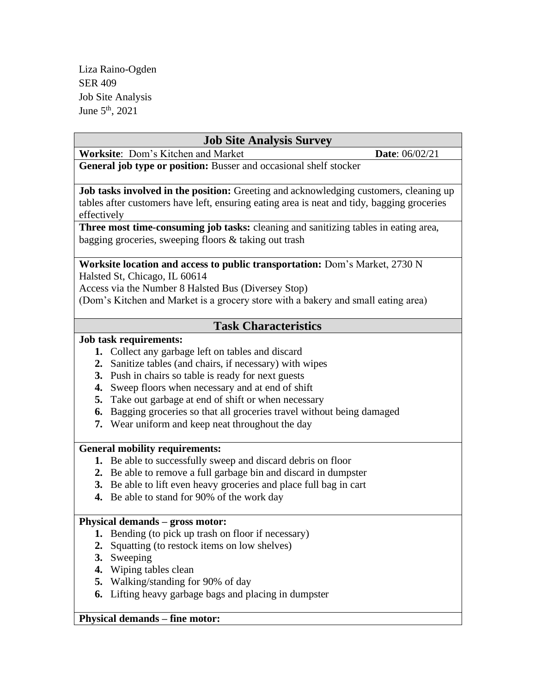| <b>Job Site Analysis Survey</b>                                                                                                                                                                                                                          |                |
|----------------------------------------------------------------------------------------------------------------------------------------------------------------------------------------------------------------------------------------------------------|----------------|
| Worksite: Dom's Kitchen and Market                                                                                                                                                                                                                       | Date: 06/02/21 |
| General job type or position: Busser and occasional shelf stocker                                                                                                                                                                                        |                |
| Job tasks involved in the position: Greeting and acknowledging customers, cleaning up<br>tables after customers have left, ensuring eating area is neat and tidy, bagging groceries<br>effectively                                                       |                |
| Three most time-consuming job tasks: cleaning and sanitizing tables in eating area,<br>bagging groceries, sweeping floors & taking out trash                                                                                                             |                |
| Worksite location and access to public transportation: Dom's Market, 2730 N<br>Halsted St, Chicago, IL 60614<br>Access via the Number 8 Halsted Bus (Diversey Stop)<br>(Dom's Kitchen and Market is a grocery store with a bakery and small eating area) |                |
| <b>Task Characteristics</b>                                                                                                                                                                                                                              |                |
| <b>Job task requirements:</b>                                                                                                                                                                                                                            |                |
| 1. Collect any garbage left on tables and discard                                                                                                                                                                                                        |                |
| 2. Sanitize tables (and chairs, if necessary) with wipes                                                                                                                                                                                                 |                |
| 3. Push in chairs so table is ready for next guests                                                                                                                                                                                                      |                |
| 4. Sweep floors when necessary and at end of shift                                                                                                                                                                                                       |                |
| Take out garbage at end of shift or when necessary<br>5.                                                                                                                                                                                                 |                |
| 6. Bagging groceries so that all groceries travel without being damaged                                                                                                                                                                                  |                |
| 7. Wear uniform and keep neat throughout the day                                                                                                                                                                                                         |                |
| <b>General mobility requirements:</b>                                                                                                                                                                                                                    |                |
| 1. Be able to successfully sweep and discard debris on floor                                                                                                                                                                                             |                |
| 2. Be able to remove a full garbage bin and discard in dumpster                                                                                                                                                                                          |                |
| 3. Be able to lift even heavy groceries and place full bag in cart                                                                                                                                                                                       |                |
| 4. Be able to stand for 90% of the work day                                                                                                                                                                                                              |                |
| $\bullet$ $\bullet$ $\bullet$ $\bullet$ $\bullet$ $\bullet$                                                                                                                                                                                              |                |

# **Physical demands – gross motor:**

- **1.** Bending (to pick up trash on floor if necessary)
- **2.** Squatting (to restock items on low shelves)
- **3.** Sweeping
- **4.** Wiping tables clean
- **5.** Walking/standing for 90% of day
- **6.** Lifting heavy garbage bags and placing in dumpster

# **Physical demands – fine motor:**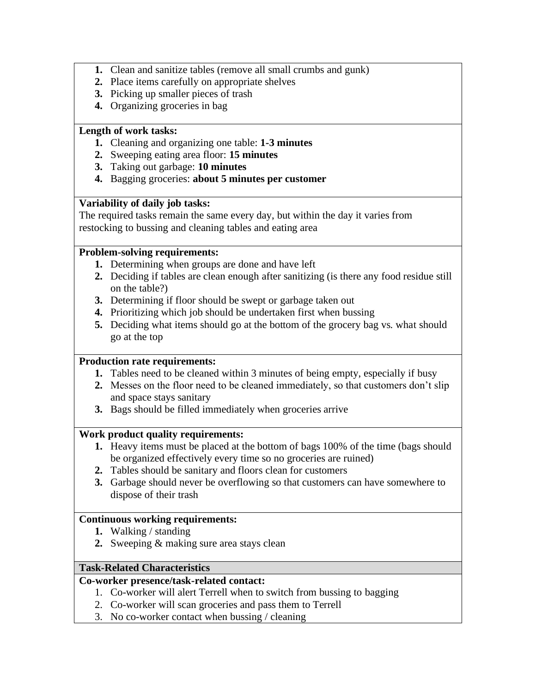- **1.** Clean and sanitize tables (remove all small crumbs and gunk)
- **2.** Place items carefully on appropriate shelves
- **3.** Picking up smaller pieces of trash
- **4.** Organizing groceries in bag

## **Length of work tasks:**

- **1.** Cleaning and organizing one table: **1-3 minutes**
- **2.** Sweeping eating area floor: **15 minutes**
- **3.** Taking out garbage: **10 minutes**
- **4.** Bagging groceries: **about 5 minutes per customer**

## **Variability of daily job tasks:**

The required tasks remain the same every day, but within the day it varies from restocking to bussing and cleaning tables and eating area

### **Problem-solving requirements:**

- **1.** Determining when groups are done and have left
- **2.** Deciding if tables are clean enough after sanitizing (is there any food residue still on the table?)
- **3.** Determining if floor should be swept or garbage taken out
- **4.** Prioritizing which job should be undertaken first when bussing
- **5.** Deciding what items should go at the bottom of the grocery bag vs. what should go at the top

### **Production rate requirements:**

- **1.** Tables need to be cleaned within 3 minutes of being empty, especially if busy
- **2.** Messes on the floor need to be cleaned immediately, so that customers don't slip and space stays sanitary
- **3.** Bags should be filled immediately when groceries arrive

### **Work product quality requirements:**

- **1.** Heavy items must be placed at the bottom of bags 100% of the time (bags should be organized effectively every time so no groceries are ruined)
- **2.** Tables should be sanitary and floors clean for customers
- **3.** Garbage should never be overflowing so that customers can have somewhere to dispose of their trash

### **Continuous working requirements:**

- **1.** Walking / standing
- **2.** Sweeping & making sure area stays clean

### **Task-Related Characteristics**

## **Co-worker presence/task-related contact:**

- 1. Co-worker will alert Terrell when to switch from bussing to bagging
- 2. Co-worker will scan groceries and pass them to Terrell
- 3. No co-worker contact when bussing / cleaning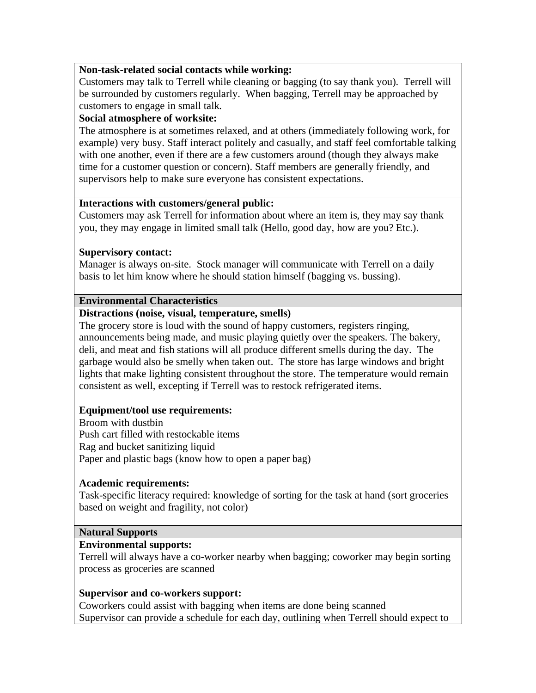## **Non-task-related social contacts while working:**

Customers may talk to Terrell while cleaning or bagging (to say thank you). Terrell will be surrounded by customers regularly. When bagging, Terrell may be approached by customers to engage in small talk.

### **Social atmosphere of worksite:**

The atmosphere is at sometimes relaxed, and at others (immediately following work, for example) very busy. Staff interact politely and casually, and staff feel comfortable talking with one another, even if there are a few customers around (though they always make time for a customer question or concern). Staff members are generally friendly, and supervisors help to make sure everyone has consistent expectations.

### **Interactions with customers/general public:**

Customers may ask Terrell for information about where an item is, they may say thank you, they may engage in limited small talk (Hello, good day, how are you? Etc.).

#### **Supervisory contact:**

Manager is always on-site. Stock manager will communicate with Terrell on a daily basis to let him know where he should station himself (bagging vs. bussing).

### **Environmental Characteristics**

### **Distractions (noise, visual, temperature, smells)**

The grocery store is loud with the sound of happy customers, registers ringing, announcements being made, and music playing quietly over the speakers. The bakery, deli, and meat and fish stations will all produce different smells during the day. The garbage would also be smelly when taken out. The store has large windows and bright lights that make lighting consistent throughout the store. The temperature would remain consistent as well, excepting if Terrell was to restock refrigerated items.

### **Equipment/tool use requirements:**

Broom with dustbin Push cart filled with restockable items Rag and bucket sanitizing liquid Paper and plastic bags (know how to open a paper bag)

#### **Academic requirements:**

Task-specific literacy required: knowledge of sorting for the task at hand (sort groceries based on weight and fragility, not color)

### **Natural Supports**

### **Environmental supports:**

Terrell will always have a co-worker nearby when bagging; coworker may begin sorting process as groceries are scanned

### **Supervisor and co-workers support:**

Coworkers could assist with bagging when items are done being scanned Supervisor can provide a schedule for each day, outlining when Terrell should expect to